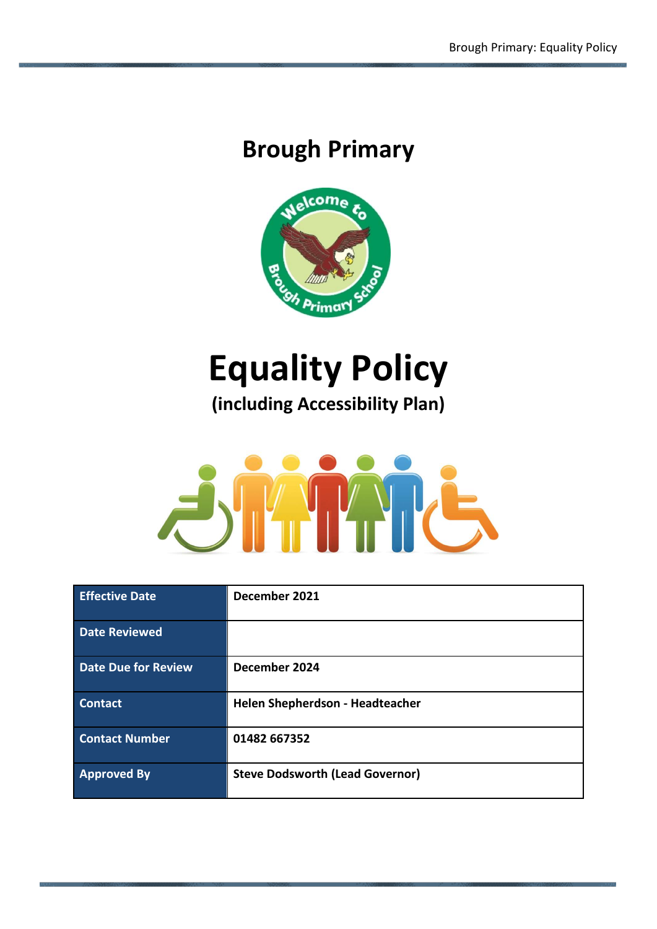# **Brough Primary**



# **Equality Policy**

**(including Accessibility Plan)**



| <b>Effective Date</b>      | December 2021                          |
|----------------------------|----------------------------------------|
| <b>Date Reviewed</b>       |                                        |
| <b>Date Due for Review</b> | December 2024                          |
| <b>Contact</b>             | Helen Shepherdson - Headteacher        |
| <b>Contact Number</b>      | 01482 667352                           |
| <b>Approved By</b>         | <b>Steve Dodsworth (Lead Governor)</b> |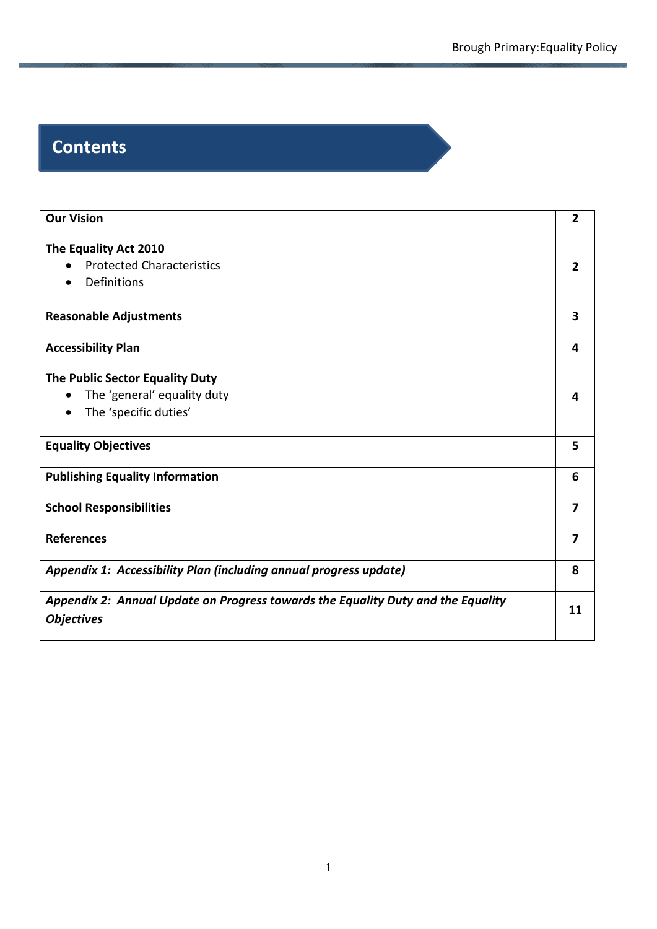# **Contents**

| <b>Our Vision</b>                                                                                     | $\overline{2}$ |
|-------------------------------------------------------------------------------------------------------|----------------|
| The Equality Act 2010                                                                                 |                |
| <b>Protected Characteristics</b>                                                                      | $\overline{2}$ |
| Definitions                                                                                           |                |
| <b>Reasonable Adjustments</b>                                                                         | 3              |
| <b>Accessibility Plan</b>                                                                             | 4              |
| The Public Sector Equality Duty                                                                       |                |
| The 'general' equality duty                                                                           | 4              |
| The 'specific duties'                                                                                 |                |
| <b>Equality Objectives</b>                                                                            | 5              |
| <b>Publishing Equality Information</b>                                                                | 6              |
| <b>School Responsibilities</b>                                                                        | $\overline{7}$ |
| <b>References</b>                                                                                     | 7              |
| Appendix 1: Accessibility Plan (including annual progress update)                                     | 8              |
| Appendix 2: Annual Update on Progress towards the Equality Duty and the Equality<br><b>Objectives</b> | 11             |
|                                                                                                       |                |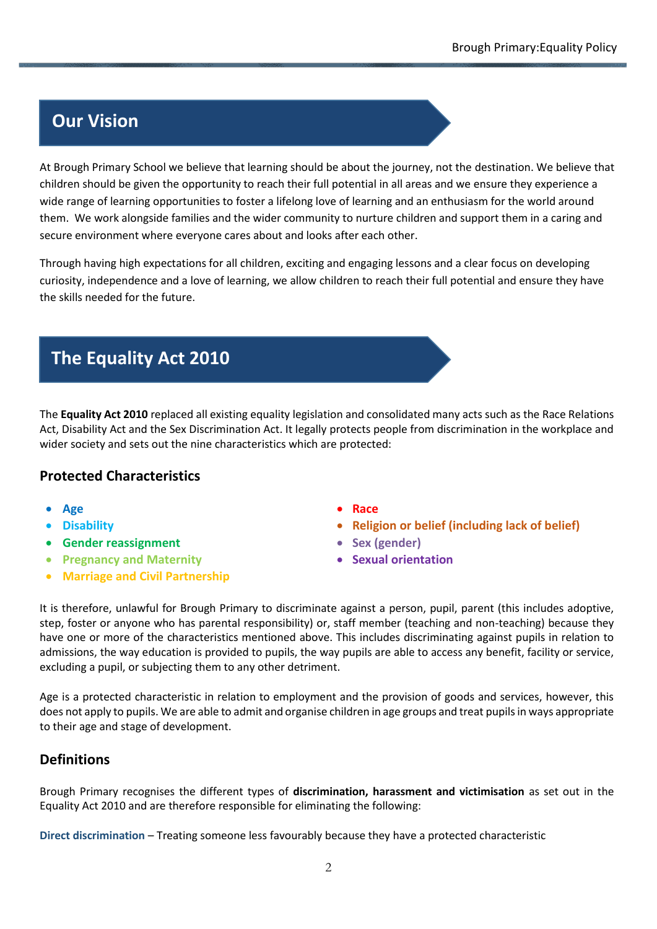# **Our Vision**

At Brough Primary School we believe that learning should be about the journey, not the destination. We believe that children should be given the opportunity to reach their full potential in all areas and we ensure they experience a wide range of learning opportunities to foster a lifelong love of learning and an enthusiasm for the world around them. We work alongside families and the wider community to nurture children and support them in a caring and secure environment where everyone cares about and looks after each other.

Through having high expectations for all children, exciting and engaging lessons and a clear focus on developing curiosity, independence and a love of learning, we allow children to reach their full potential and ensure they have the skills needed for the future.

# **The Equality Act 2010**

The **Equality Act 2010** replaced all existing equality legislation and consolidated many acts such as the Race Relations Act, Disability Act and the Sex Discrimination Act. It legally protects people from discrimination in the workplace and wider society and sets out the nine characteristics which are protected:

#### **Protected Characteristics**

- 
- 
- **Gender reassignment Sex (gender)**
- **Pregnancy and Maternity Sexual orientation**
- **Marriage and Civil Partnership**
- **Age Race**
- **Disability Religion or belief (including lack of belief)**
	-
	-

It is therefore, unlawful for Brough Primary to discriminate against a person, pupil, parent (this includes adoptive, step, foster or anyone who has parental responsibility) or, staff member (teaching and non-teaching) because they have one or more of the characteristics mentioned above. This includes discriminating against pupils in relation to admissions, the way education is provided to pupils, the way pupils are able to access any benefit, facility or service, excluding a pupil, or subjecting them to any other detriment.

Age is a protected characteristic in relation to employment and the provision of goods and services, however, this does not apply to pupils. We are able to admit and organise children in age groups and treat pupils in ways appropriate to their age and stage of development.

#### **Definitions**

Brough Primary recognises the different types of **discrimination, harassment and victimisation** as set out in the Equality Act 2010 and are therefore responsible for eliminating the following:

**Direct discrimination** – Treating someone less favourably because they have a protected characteristic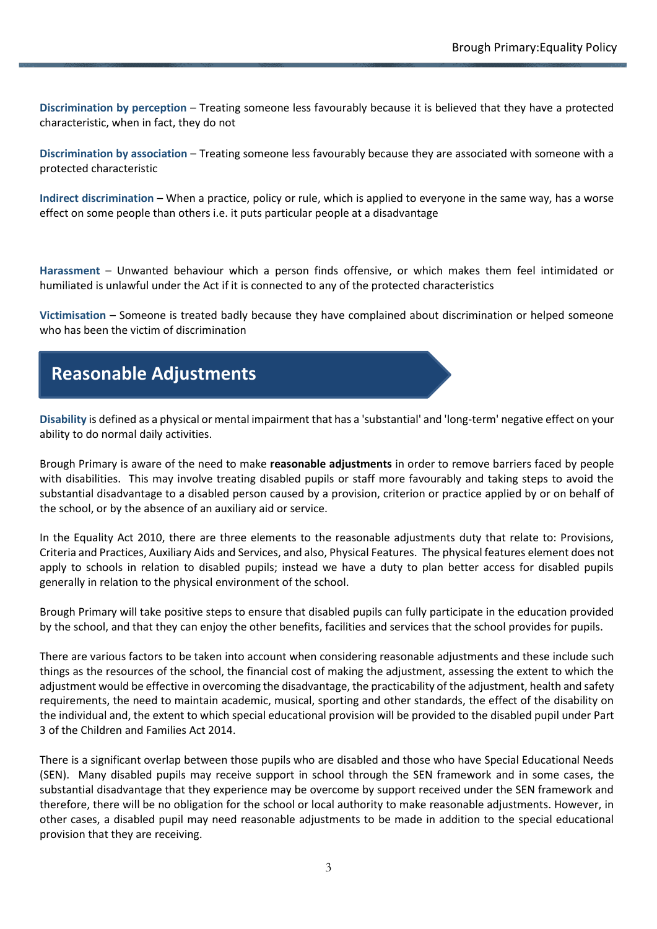**Discrimination by perception** – Treating someone less favourably because it is believed that they have a protected characteristic, when in fact, they do not

**Discrimination by association** – Treating someone less favourably because they are associated with someone with a protected characteristic

**Indirect discrimination** – When a practice, policy or rule, which is applied to everyone in the same way, has a worse effect on some people than others i.e. it puts particular people at a disadvantage

**Harassment** – Unwanted behaviour which a person finds offensive, or which makes them feel intimidated or humiliated is unlawful under the Act if it is connected to any of the protected characteristics

**Victimisation** – Someone is treated badly because they have complained about discrimination or helped someone who has been the victim of discrimination

# **Reasonable Adjustments**

**Disability** is defined as a physical or mental impairment that has a 'substantial' and 'long-term' negative effect on your ability to do normal daily activities.

Brough Primary is aware of the need to make **reasonable adjustments** in order to remove barriers faced by people with disabilities. This may involve treating disabled pupils or staff more favourably and taking steps to avoid the substantial disadvantage to a disabled person caused by a provision, criterion or practice applied by or on behalf of the school, or by the absence of an auxiliary aid or service.

In the Equality Act 2010, there are three elements to the reasonable adjustments duty that relate to: Provisions, Criteria and Practices, Auxiliary Aids and Services, and also, Physical Features. The physical features element does not apply to schools in relation to disabled pupils; instead we have a duty to plan better access for disabled pupils generally in relation to the physical environment of the school.

Brough Primary will take positive steps to ensure that disabled pupils can fully participate in the education provided by the school, and that they can enjoy the other benefits, facilities and services that the school provides for pupils.

There are various factors to be taken into account when considering reasonable adjustments and these include such things as the resources of the school, the financial cost of making the adjustment, assessing the extent to which the adjustment would be effective in overcoming the disadvantage, the practicability of the adjustment, health and safety requirements, the need to maintain academic, musical, sporting and other standards, the effect of the disability on the individual and, the extent to which special educational provision will be provided to the disabled pupil under Part 3 of the Children and Families Act 2014.

There is a significant overlap between those pupils who are disabled and those who have Special Educational Needs (SEN). Many disabled pupils may receive support in school through the SEN framework and in some cases, the substantial disadvantage that they experience may be overcome by support received under the SEN framework and therefore, there will be no obligation for the school or local authority to make reasonable adjustments. However, in other cases, a disabled pupil may need reasonable adjustments to be made in addition to the special educational provision that they are receiving.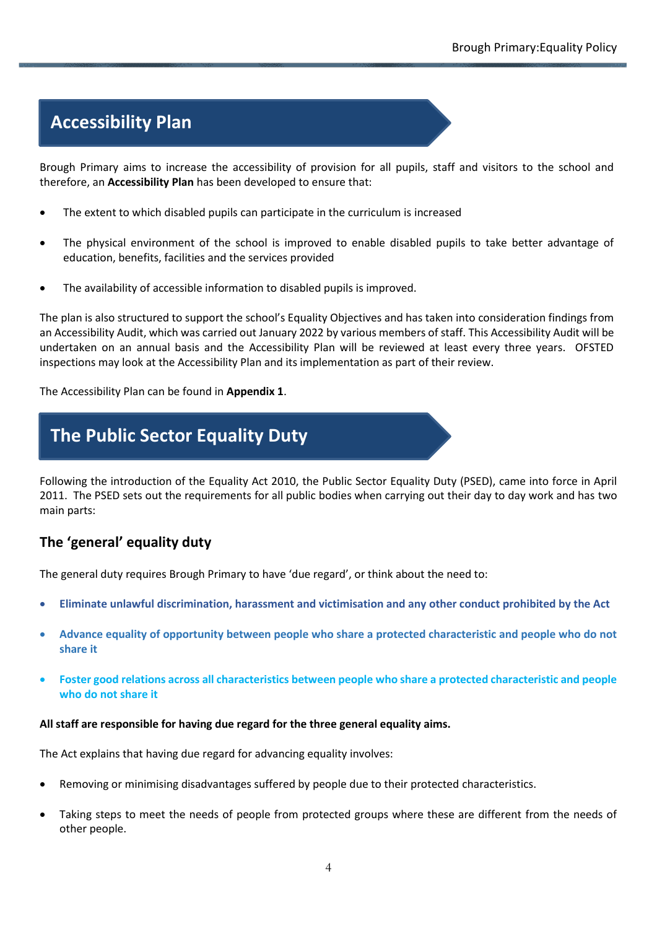# **Accessibility Plan**

Brough Primary aims to increase the accessibility of provision for all pupils, staff and visitors to the school and therefore, an **Accessibility Plan** has been developed to ensure that:

- The extent to which disabled pupils can participate in the curriculum is increased
- The physical environment of the school is improved to enable disabled pupils to take better advantage of education, benefits, facilities and the services provided
- The availability of accessible information to disabled pupils is improved.

The plan is also structured to support the school's Equality Objectives and has taken into consideration findings from an Accessibility Audit, which was carried out January 2022 by various members of staff. This Accessibility Audit will be undertaken on an annual basis and the Accessibility Plan will be reviewed at least every three years. OFSTED inspections may look at the Accessibility Plan and its implementation as part of their review.

The Accessibility Plan can be found in **Appendix 1**.

# **The Public Sector Equality Duty**

Following the introduction of the Equality Act 2010, the Public Sector Equality Duty (PSED), came into force in April 2011. The PSED sets out the requirements for all public bodies when carrying out their day to day work and has two main parts:

#### **The 'general' equality duty**

The general duty requires Brough Primary to have 'due regard', or think about the need to:

- **Eliminate unlawful discrimination, harassment and victimisation and any other conduct prohibited by the Act**
- **Advance equality of opportunity between people who share a protected characteristic and people who do not share it**
- **Foster good relations across all characteristics between people who share a protected characteristic and people who do not share it**

#### **All staff are responsible for having due regard for the three general equality aims.**

The Act explains that having due regard for advancing equality involves:

- Removing or minimising disadvantages suffered by people due to their protected characteristics.
- Taking steps to meet the needs of people from protected groups where these are different from the needs of other people.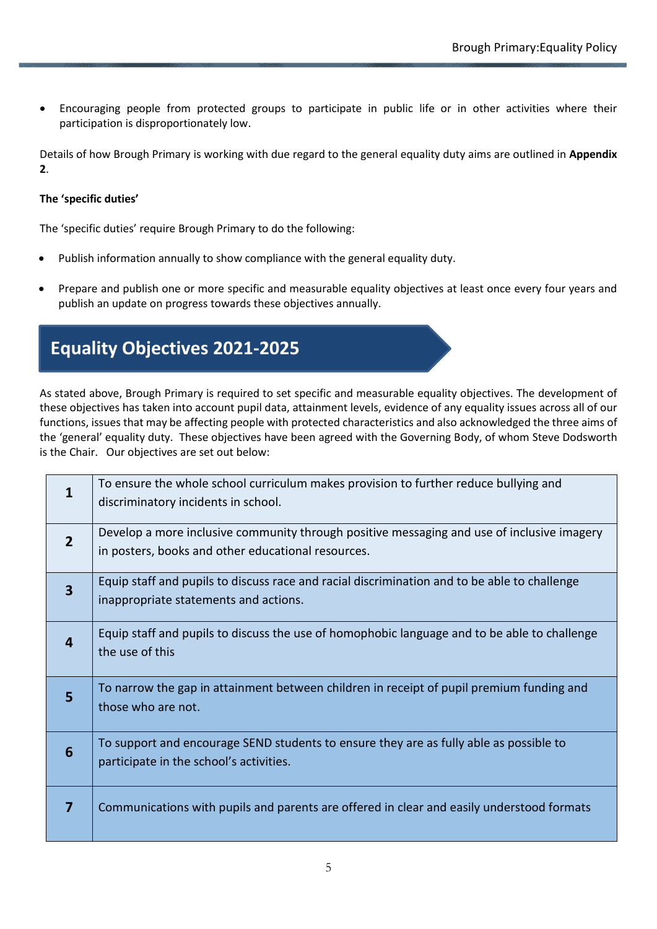• Encouraging people from protected groups to participate in public life or in other activities where their participation is disproportionately low.

Details of how Brough Primary is working with due regard to the general equality duty aims are outlined in **Appendix 2**.

#### **The 'specific duties'**

The 'specific duties' require Brough Primary to do the following:

- Publish information annually to show compliance with the general equality duty.
- Prepare and publish one or more specific and measurable equality objectives at least once every four years and publish an update on progress towards these objectives annually.

# **Equality Objectives 2021-2025**

As stated above, Brough Primary is required to set specific and measurable equality objectives. The development of these objectives has taken into account pupil data, attainment levels, evidence of any equality issues across all of our functions, issues that may be affecting people with protected characteristics and also acknowledged the three aims of the 'general' equality duty. These objectives have been agreed with the Governing Body, of whom Steve Dodsworth is the Chair. Our objectives are set out below:

| 1                       | To ensure the whole school curriculum makes provision to further reduce bullying and<br>discriminatory incidents in school.                      |
|-------------------------|--------------------------------------------------------------------------------------------------------------------------------------------------|
| $\overline{2}$          | Develop a more inclusive community through positive messaging and use of inclusive imagery<br>in posters, books and other educational resources. |
| $\overline{\mathbf{3}}$ | Equip staff and pupils to discuss race and racial discrimination and to be able to challenge<br>inappropriate statements and actions.            |
|                         | Equip staff and pupils to discuss the use of homophobic language and to be able to challenge<br>the use of this                                  |
| 5                       | To narrow the gap in attainment between children in receipt of pupil premium funding and<br>those who are not.                                   |
| $6\phantom{1}6$         | To support and encourage SEND students to ensure they are as fully able as possible to<br>participate in the school's activities.                |
| 7                       | Communications with pupils and parents are offered in clear and easily understood formats                                                        |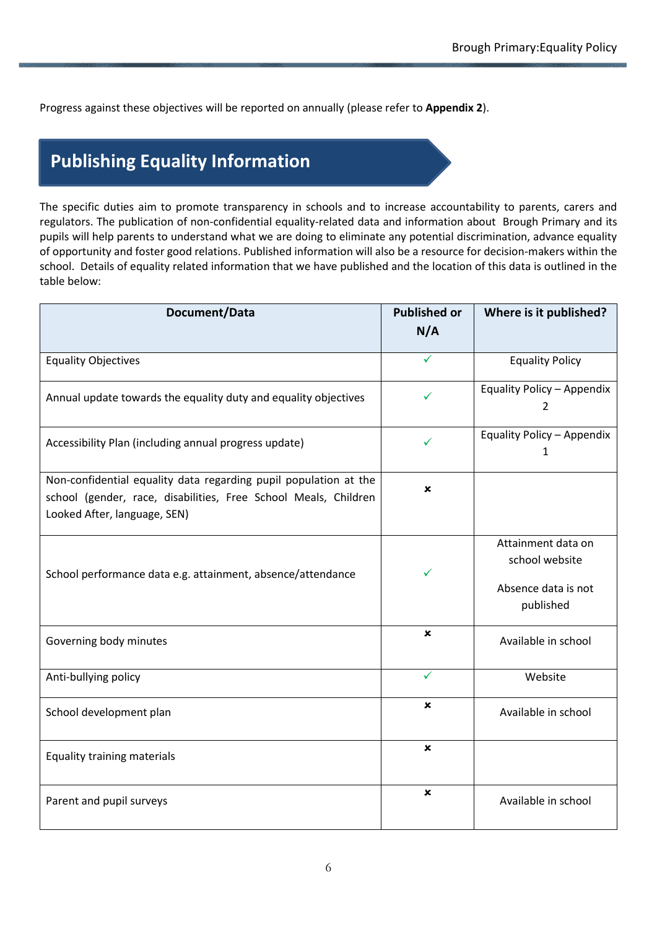Progress against these objectives will be reported on annually (please refer to **Appendix 2**).

# **Publishing Equality Information**

The specific duties aim to promote transparency in schools and to increase accountability to parents, carers and regulators. The publication of non-confidential equality-related data and information about Brough Primary and its pupils will help parents to understand what we are doing to eliminate any potential discrimination, advance equality of opportunity and foster good relations. Published information will also be a resource for decision-makers within the school. Details of equality related information that we have published and the location of this data is outlined in the table below:

| Document/Data                                                                                                                                                       | <b>Published or</b><br>N/A | Where is it published?                                                   |
|---------------------------------------------------------------------------------------------------------------------------------------------------------------------|----------------------------|--------------------------------------------------------------------------|
| <b>Equality Objectives</b>                                                                                                                                          | ✓                          | <b>Equality Policy</b>                                                   |
| Annual update towards the equality duty and equality objectives                                                                                                     | ✓                          | Equality Policy - Appendix<br>$\overline{2}$                             |
| Accessibility Plan (including annual progress update)                                                                                                               | ✓                          | Equality Policy - Appendix<br>1                                          |
| Non-confidential equality data regarding pupil population at the<br>school (gender, race, disabilities, Free School Meals, Children<br>Looked After, language, SEN) | ×                          |                                                                          |
| School performance data e.g. attainment, absence/attendance                                                                                                         | ✓                          | Attainment data on<br>school website<br>Absence data is not<br>published |
| Governing body minutes                                                                                                                                              | ×                          | Available in school                                                      |
| Anti-bullying policy                                                                                                                                                | ✓                          | Website                                                                  |
| School development plan                                                                                                                                             | ×                          | Available in school                                                      |
| <b>Equality training materials</b>                                                                                                                                  | ×                          |                                                                          |
| Parent and pupil surveys                                                                                                                                            | ×                          | Available in school                                                      |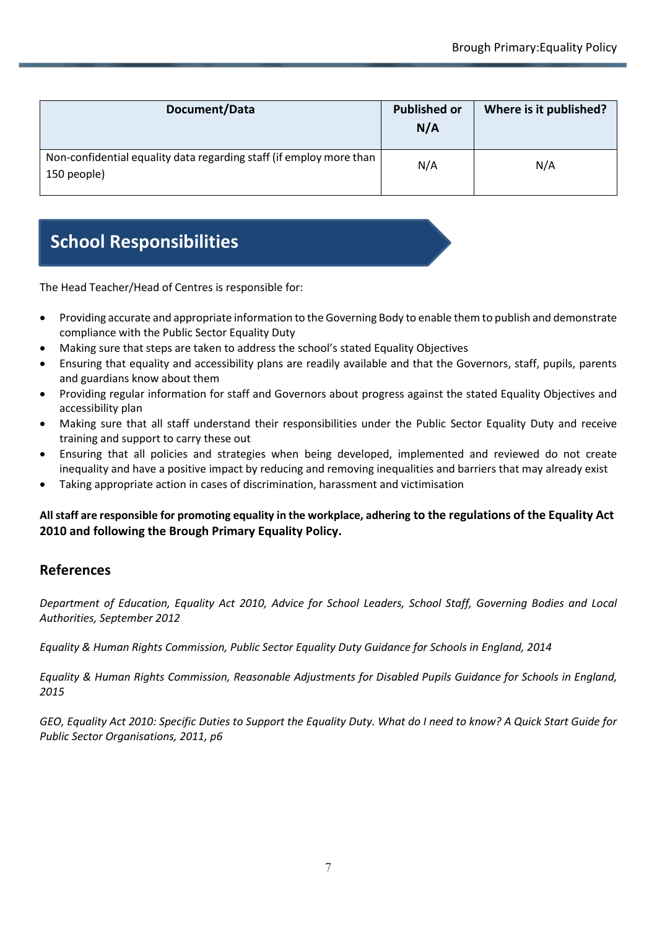| Document/Data                                                                      | <b>Published or</b><br>N/A | Where is it published? |
|------------------------------------------------------------------------------------|----------------------------|------------------------|
| Non-confidential equality data regarding staff (if employ more than<br>150 people) | N/A                        | N/A                    |

# **School Responsibilities**

The Head Teacher/Head of Centres is responsible for:

- Providing accurate and appropriate information to the Governing Body to enable them to publish and demonstrate compliance with the Public Sector Equality Duty
- Making sure that steps are taken to address the school's stated Equality Objectives
- Ensuring that equality and accessibility plans are readily available and that the Governors, staff, pupils, parents and guardians know about them
- Providing regular information for staff and Governors about progress against the stated Equality Objectives and accessibility plan
- Making sure that all staff understand their responsibilities under the Public Sector Equality Duty and receive training and support to carry these out
- Ensuring that all policies and strategies when being developed, implemented and reviewed do not create inequality and have a positive impact by reducing and removing inequalities and barriers that may already exist
- Taking appropriate action in cases of discrimination, harassment and victimisation

#### **All staff are responsible for promoting equality in the workplace, adhering to the regulations of the Equality Act 2010 and following the Brough Primary Equality Policy.**

#### **References**

*Department of Education, Equality Act 2010, Advice for School Leaders, School Staff, Governing Bodies and Local Authorities, September 2012*

*Equality & Human Rights Commission, Public Sector Equality Duty Guidance for Schools in England, 2014*

*Equality & Human Rights Commission, Reasonable Adjustments for Disabled Pupils Guidance for Schools in England, 2015*

*GEO, Equality Act 2010: Specific Duties to Support the Equality Duty. What do I need to know? A Quick Start Guide for Public Sector Organisations, 2011, p6*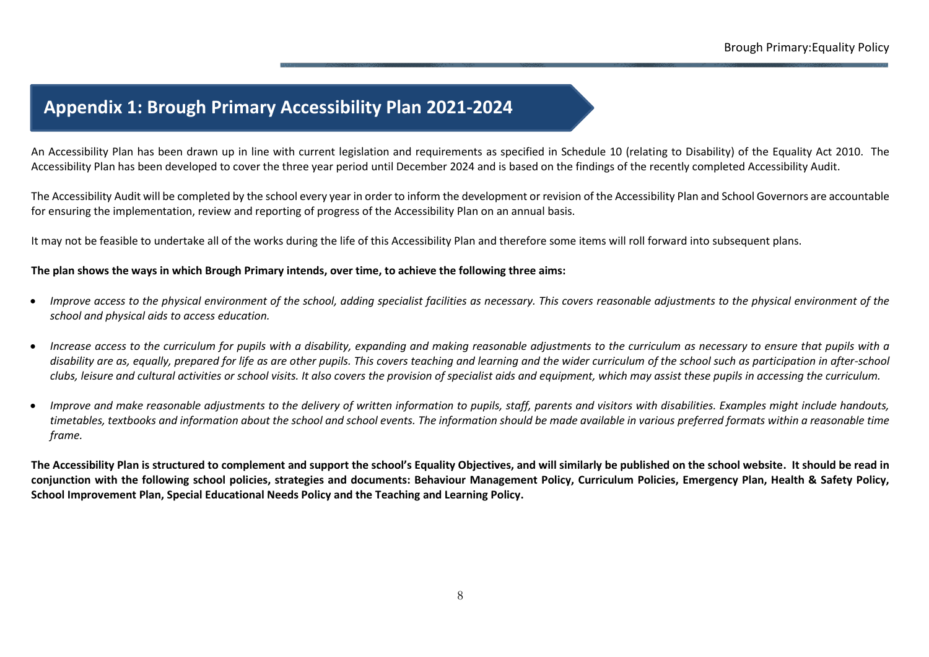### **Appendix 1: Brough Primary Accessibility Plan 2021-2024**

An Accessibility Plan has been drawn up in line with current legislation and requirements as specified in Schedule 10 (relating to Disability) of the Equality Act 2010. The Accessibility Plan has been developed to cover the three year period until December 2024 and is based on the findings of the recently completed Accessibility Audit.

The Accessibility Audit will be completed by the school every year in order to inform the development or revision of the Accessibility Plan and School Governors are accountable for ensuring the implementation, review and reporting of progress of the Accessibility Plan on an annual basis.

It may not be feasible to undertake all of the works during the life of this Accessibility Plan and therefore some items will roll forward into subsequent plans.

#### **The plan shows the ways in which Brough Primary intends, over time, to achieve the following three aims:**

- *Improve access to the physical environment of the school, adding specialist facilities as necessary. This covers reasonable adjustments to the physical environment of the school and physical aids to access education.*
- *Increase access to the curriculum for pupils with a disability, expanding and making reasonable adjustments to the curriculum as necessary to ensure that pupils with a disability are as, equally, prepared for life as are other pupils. This covers teaching and learning and the wider curriculum of the school such as participation in after-school clubs, leisure and cultural activities or school visits. It also covers the provision of specialist aids and equipment, which may assist these pupils in accessing the curriculum.*
- *Improve and make reasonable adjustments to the delivery of written information to pupils, staff, parents and visitors with disabilities. Examples might include handouts, timetables, textbooks and information about the school and school events. The information should be made available in various preferred formats within a reasonable time frame.*

**The Accessibility Plan is structured to complement and support the school's Equality Objectives, and will similarly be published on the school website. It should be read in conjunction with the following school policies, strategies and documents: Behaviour Management Policy, Curriculum Policies, Emergency Plan, Health & Safety Policy, School Improvement Plan, Special Educational Needs Policy and the Teaching and Learning Policy.**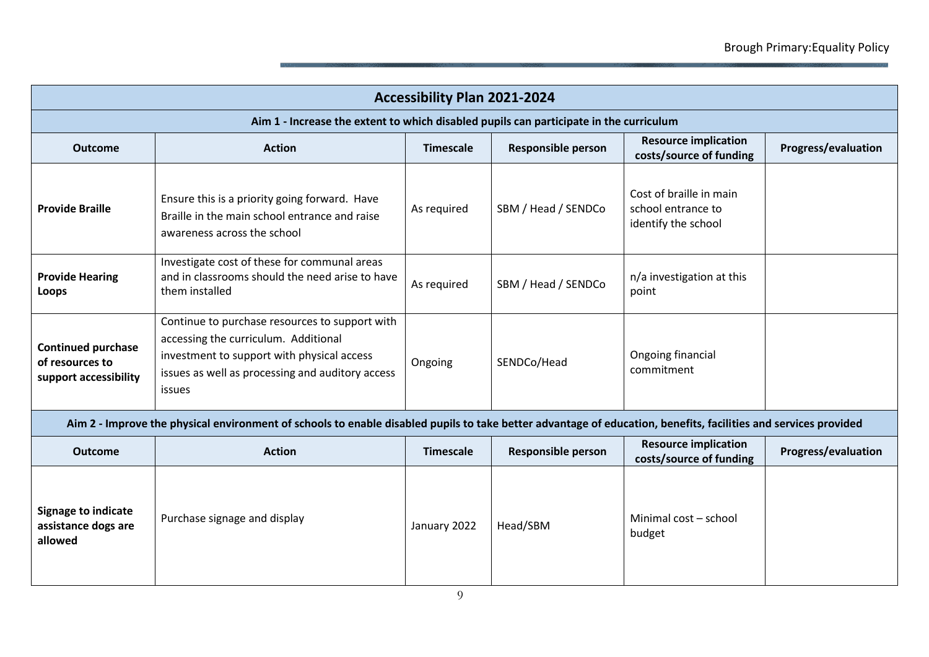| <b>Accessibility Plan 2021-2024</b>                                                                                                                             |                                                                                                                                                                                                    |                  |                           |                                                                      |                            |
|-----------------------------------------------------------------------------------------------------------------------------------------------------------------|----------------------------------------------------------------------------------------------------------------------------------------------------------------------------------------------------|------------------|---------------------------|----------------------------------------------------------------------|----------------------------|
| Aim 1 - Increase the extent to which disabled pupils can participate in the curriculum                                                                          |                                                                                                                                                                                                    |                  |                           |                                                                      |                            |
| <b>Outcome</b>                                                                                                                                                  | <b>Action</b>                                                                                                                                                                                      | <b>Timescale</b> | <b>Responsible person</b> | <b>Resource implication</b><br>costs/source of funding               | <b>Progress/evaluation</b> |
| <b>Provide Braille</b>                                                                                                                                          | Ensure this is a priority going forward. Have<br>Braille in the main school entrance and raise<br>awareness across the school                                                                      | As required      | SBM / Head / SENDCo       | Cost of braille in main<br>school entrance to<br>identify the school |                            |
| <b>Provide Hearing</b><br>Loops                                                                                                                                 | Investigate cost of these for communal areas<br>and in classrooms should the need arise to have<br>them installed                                                                                  | As required      | SBM / Head / SENDCo       | n/a investigation at this<br>point                                   |                            |
| <b>Continued purchase</b><br>of resources to<br>support accessibility                                                                                           | Continue to purchase resources to support with<br>accessing the curriculum. Additional<br>investment to support with physical access<br>issues as well as processing and auditory access<br>issues | Ongoing          | SENDCo/Head               | Ongoing financial<br>commitment                                      |                            |
| Aim 2 - Improve the physical environment of schools to enable disabled pupils to take better advantage of education, benefits, facilities and services provided |                                                                                                                                                                                                    |                  |                           |                                                                      |                            |
| <b>Outcome</b>                                                                                                                                                  | <b>Action</b>                                                                                                                                                                                      | <b>Timescale</b> | <b>Responsible person</b> | <b>Resource implication</b><br>costs/source of funding               | <b>Progress/evaluation</b> |
| <b>Signage to indicate</b><br>assistance dogs are<br>allowed                                                                                                    | Purchase signage and display                                                                                                                                                                       | January 2022     | Head/SBM                  | Minimal cost - school<br>budget                                      |                            |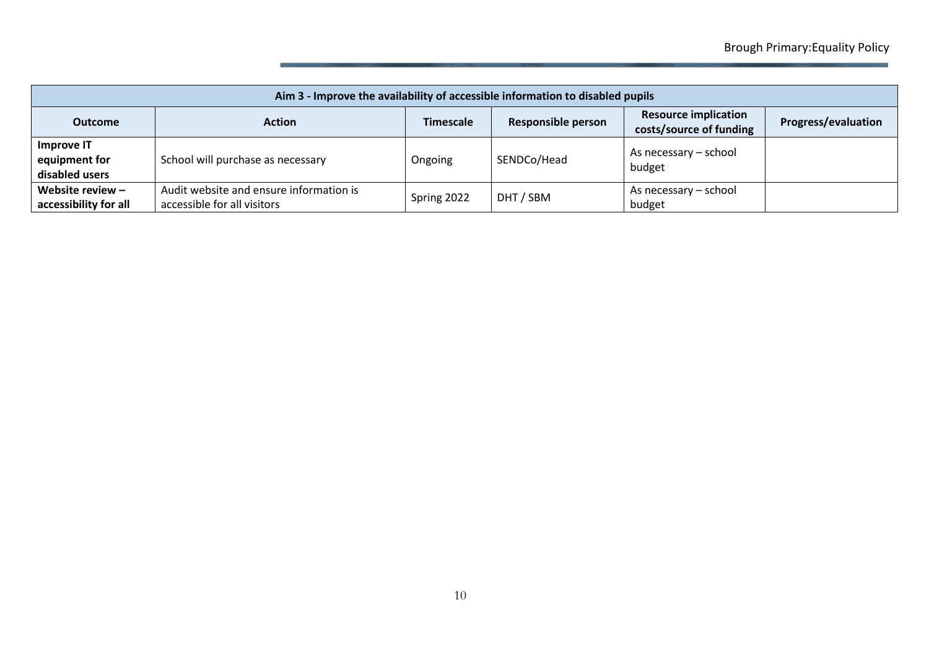| Aim 3 - Improve the availability of accessible information to disabled pupils |                                                                        |                  |                           |                                                        |                            |
|-------------------------------------------------------------------------------|------------------------------------------------------------------------|------------------|---------------------------|--------------------------------------------------------|----------------------------|
| <b>Outcome</b>                                                                | <b>Action</b>                                                          | <b>Timescale</b> | <b>Responsible person</b> | <b>Resource implication</b><br>costs/source of funding | <b>Progress/evaluation</b> |
| Improve IT<br>equipment for<br>disabled users                                 | School will purchase as necessary                                      | Ongoing          | SENDCo/Head               | As necessary – school<br>budget                        |                            |
| Website review $-$<br>accessibility for all                                   | Audit website and ensure information is<br>accessible for all visitors | Spring 2022      | DHT / SBM                 | As necessary – school<br>budget                        |                            |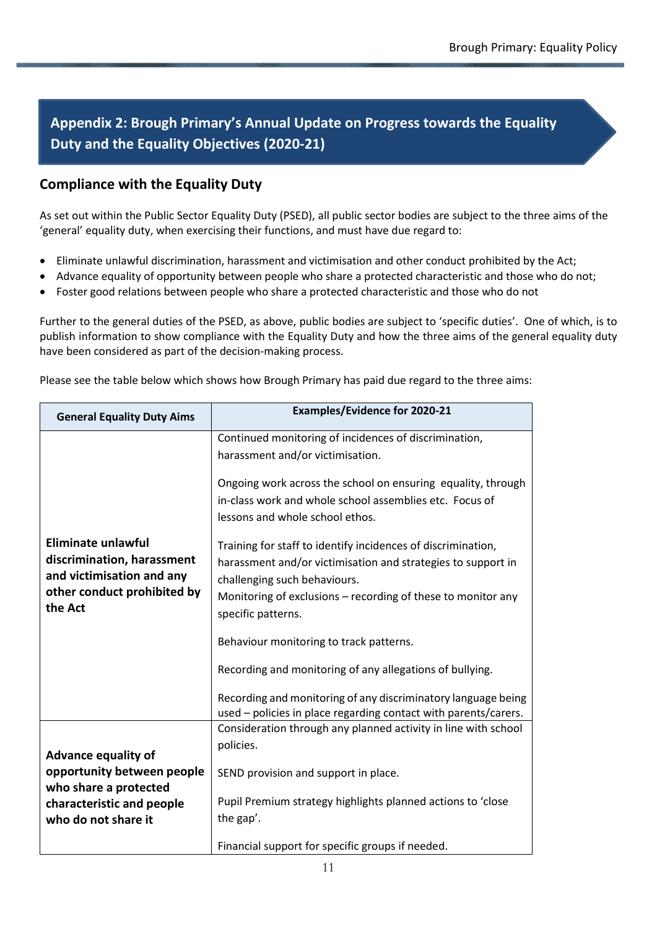### **Appendix 2: Brough Primary's Annual Update on Progress towards the Equality Duty and the Equality Objectives (2020-21)**

#### **Compliance with the Equality Duty**

As set out within the Public Sector Equality Duty (PSED), all public sector bodies are subject to the three aims of the 'general' equality duty, when exercising their functions, and must have due regard to:

- Eliminate unlawful discrimination, harassment and victimisation and other conduct prohibited by the Act;
- Advance equality of opportunity between people who share a protected characteristic and those who do not;
- Foster good relations between people who share a protected characteristic and those who do not

Further to the general duties of the PSED, as above, public bodies are subject to 'specific duties'. One of which, is to publish information to show compliance with the Equality Duty and how the three aims of the general equality duty have been considered as part of the decision-making process.

| <b>General Equality Duty Aims</b>                                                                                              | <b>Examples/Evidence for 2020-21</b>                                                                                                                                                                                                               |
|--------------------------------------------------------------------------------------------------------------------------------|----------------------------------------------------------------------------------------------------------------------------------------------------------------------------------------------------------------------------------------------------|
|                                                                                                                                | Continued monitoring of incidences of discrimination,                                                                                                                                                                                              |
|                                                                                                                                | harassment and/or victimisation.                                                                                                                                                                                                                   |
|                                                                                                                                | Ongoing work across the school on ensuring equality, through<br>in-class work and whole school assemblies etc. Focus of<br>lessons and whole school ethos.                                                                                         |
| <b>Eliminate unlawful</b><br>discrimination, harassment<br>and victimisation and any<br>other conduct prohibited by<br>the Act | Training for staff to identify incidences of discrimination,<br>harassment and/or victimisation and strategies to support in<br>challenging such behaviours.<br>Monitoring of exclusions – recording of these to monitor any<br>specific patterns. |
|                                                                                                                                | Behaviour monitoring to track patterns.                                                                                                                                                                                                            |
|                                                                                                                                | Recording and monitoring of any allegations of bullying.                                                                                                                                                                                           |
|                                                                                                                                | Recording and monitoring of any discriminatory language being<br>used - policies in place regarding contact with parents/carers.                                                                                                                   |
|                                                                                                                                | Consideration through any planned activity in line with school                                                                                                                                                                                     |
| <b>Advance equality of</b>                                                                                                     | policies.                                                                                                                                                                                                                                          |
| opportunity between people                                                                                                     | SEND provision and support in place.                                                                                                                                                                                                               |
| who share a protected                                                                                                          |                                                                                                                                                                                                                                                    |
| characteristic and people                                                                                                      | Pupil Premium strategy highlights planned actions to 'close                                                                                                                                                                                        |
| who do not share it                                                                                                            | the gap'.                                                                                                                                                                                                                                          |
|                                                                                                                                | Financial support for specific groups if needed.                                                                                                                                                                                                   |

Please see the table below which shows how Brough Primary has paid due regard to the three aims: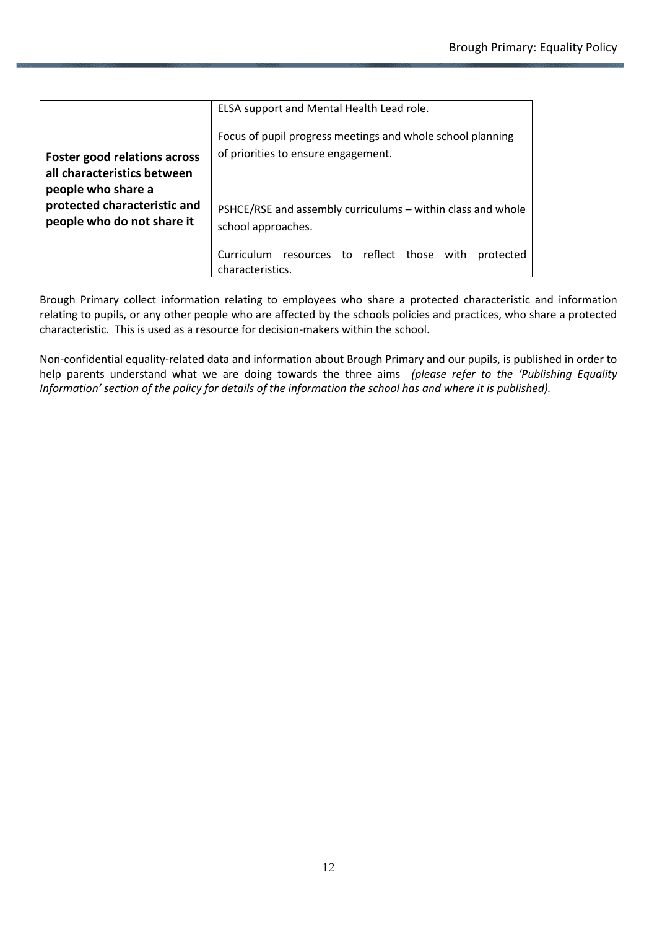|                                                                                          | ELSA support and Mental Health Lead role.                                                         |
|------------------------------------------------------------------------------------------|---------------------------------------------------------------------------------------------------|
| <b>Foster good relations across</b><br>all characteristics between<br>people who share a | Focus of pupil progress meetings and whole school planning<br>of priorities to ensure engagement. |
| protected characteristic and<br>people who do not share it                               | PSHCE/RSE and assembly curriculums – within class and whole<br>school approaches.                 |
|                                                                                          | Curriculum resources to reflect those with<br>protected<br>characteristics.                       |

Brough Primary collect information relating to employees who share a protected characteristic and information relating to pupils, or any other people who are affected by the schools policies and practices, who share a protected characteristic. This is used as a resource for decision-makers within the school.

Non-confidential equality-related data and information about Brough Primary and our pupils, is published in order to help parents understand what we are doing towards the three aims *(please refer to the 'Publishing Equality Information' section of the policy for details of the information the school has and where it is published).*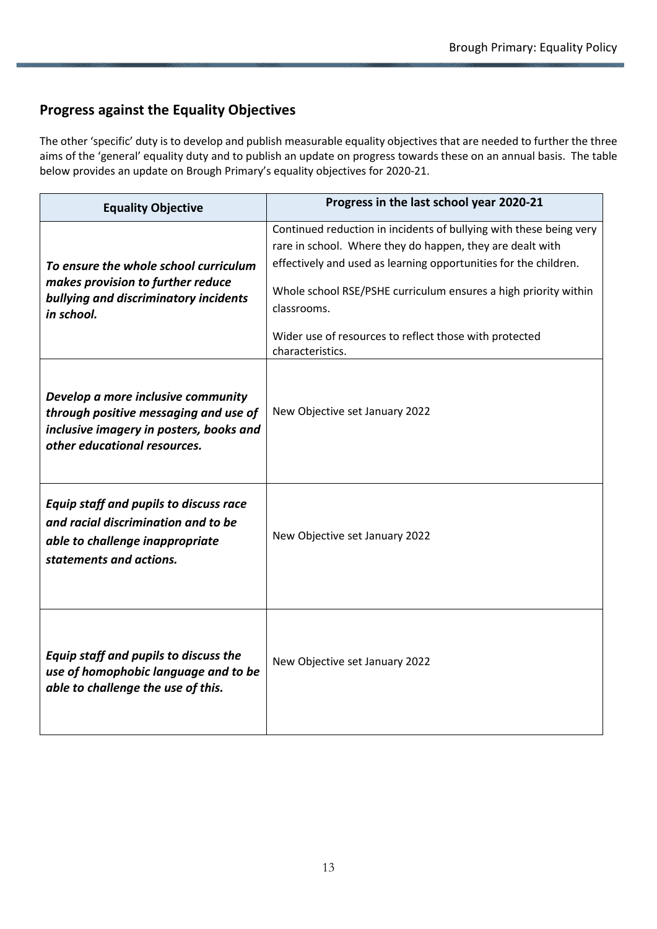#### **Progress against the Equality Objectives**

The other 'specific' duty is to develop and publish measurable equality objectives that are needed to further the three aims of the 'general' equality duty and to publish an update on progress towards these on an annual basis. The table below provides an update on Brough Primary's equality objectives for 2020-21.

| <b>Equality Objective</b>                                                                                                                              | Progress in the last school year 2020-21                                                                                                                                                                                                                                                                                                                            |
|--------------------------------------------------------------------------------------------------------------------------------------------------------|---------------------------------------------------------------------------------------------------------------------------------------------------------------------------------------------------------------------------------------------------------------------------------------------------------------------------------------------------------------------|
| To ensure the whole school curriculum<br>makes provision to further reduce<br>bullying and discriminatory incidents<br>in school.                      | Continued reduction in incidents of bullying with these being very<br>rare in school. Where they do happen, they are dealt with<br>effectively and used as learning opportunities for the children.<br>Whole school RSE/PSHE curriculum ensures a high priority within<br>classrooms.<br>Wider use of resources to reflect those with protected<br>characteristics. |
| Develop a more inclusive community<br>through positive messaging and use of<br>inclusive imagery in posters, books and<br>other educational resources. | New Objective set January 2022                                                                                                                                                                                                                                                                                                                                      |
| Equip staff and pupils to discuss race<br>and racial discrimination and to be<br>able to challenge inappropriate<br>statements and actions.            | New Objective set January 2022                                                                                                                                                                                                                                                                                                                                      |
| Equip staff and pupils to discuss the<br>use of homophobic language and to be<br>able to challenge the use of this.                                    | New Objective set January 2022                                                                                                                                                                                                                                                                                                                                      |